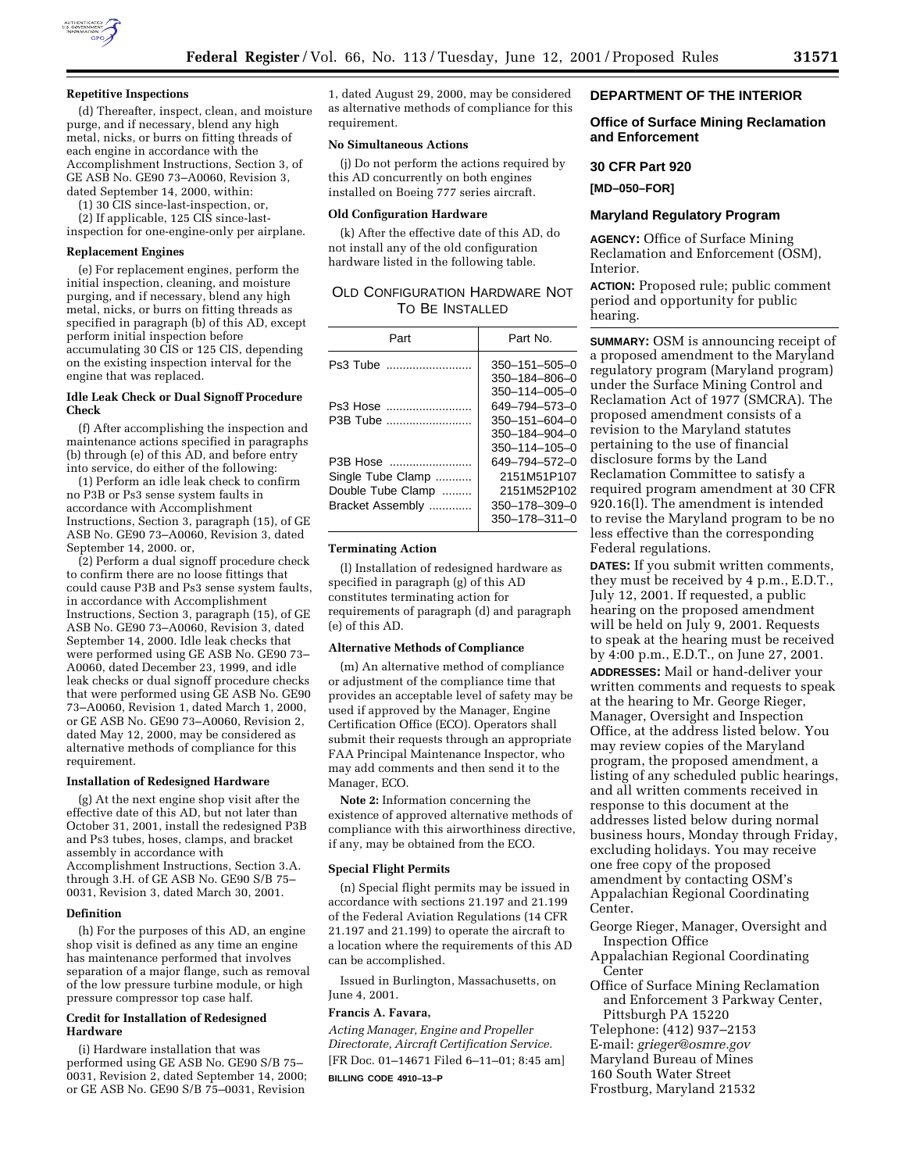

#### **Repetitive Inspections**

(d) Thereafter, inspect, clean, and moisture purge, and if necessary, blend any high metal, nicks, or burrs on fitting threads of each engine in accordance with the Accomplishment Instructions, Section 3, of GE ASB No. GE90 73–A0060, Revision 3, dated September 14, 2000, within:

(1) 30 CIS since-last-inspection, or,

(2) If applicable, 125 CIS since-lastinspection for one-engine-only per airplane.

#### **Replacement Engines**

(e) For replacement engines, perform the initial inspection, cleaning, and moisture purging, and if necessary, blend any high metal, nicks, or burrs on fitting threads as specified in paragraph (b) of this AD, except perform initial inspection before accumulating 30 CIS or 125 CIS, depending on the existing inspection interval for the engine that was replaced.

### **Idle Leak Check or Dual Signoff Procedure Check**

(f) After accomplishing the inspection and maintenance actions specified in paragraphs (b) through (e) of this AD, and before entry into service, do either of the following:

(1) Perform an idle leak check to confirm no P3B or Ps3 sense system faults in accordance with Accomplishment Instructions, Section 3, paragraph (15), of GE ASB No. GE90 73–A0060, Revision 3, dated September 14, 2000. or,

(2) Perform a dual signoff procedure check to confirm there are no loose fittings that could cause P3B and Ps3 sense system faults, in accordance with Accomplishment Instructions, Section 3, paragraph (15), of GE ASB No. GE90 73–A0060, Revision 3, dated September 14, 2000. Idle leak checks that were performed using GE ASB No. GE90 73– A0060, dated December 23, 1999, and idle leak checks or dual signoff procedure checks that were performed using GE ASB No. GE90 73–A0060, Revision 1, dated March 1, 2000, or GE ASB No. GE90 73–A0060, Revision 2, dated May 12, 2000, may be considered as alternative methods of compliance for this requirement.

#### **Installation of Redesigned Hardware**

(g) At the next engine shop visit after the effective date of this AD, but not later than October 31, 2001, install the redesigned P3B and Ps3 tubes, hoses, clamps, and bracket assembly in accordance with Accomplishment Instructions, Section 3.A. through 3.H. of GE ASB No. GE90 S/B 75– 0031, Revision 3, dated March 30, 2001.

#### **Definition**

(h) For the purposes of this AD, an engine shop visit is defined as any time an engine has maintenance performed that involves separation of a major flange, such as removal of the low pressure turbine module, or high pressure compressor top case half.

#### **Credit for Installation of Redesigned Hardware**

(i) Hardware installation that was performed using GE ASB No. GE90 S/B 75– 0031, Revision 2, dated September 14, 2000; or GE ASB No. GE90 S/B 75–0031, Revision

1, dated August 29, 2000, may be considered as alternative methods of compliance for this requirement.

### **No Simultaneous Actions**

(j) Do not perform the actions required by this AD concurrently on both engines installed on Boeing 777 series aircraft.

#### **Old Configuration Hardware**

(k) After the effective date of this AD, do not install any of the old configuration hardware listed in the following table.

| Old Configuration Hardware Not |  |
|--------------------------------|--|
| TO BE INSTALLED                |  |

| Part                                                                   | Part No.                                                                                       |
|------------------------------------------------------------------------|------------------------------------------------------------------------------------------------|
| Ps3 Tube                                                               | $350 - 151 - 505 - 0$<br>350-184-806-0                                                         |
| Ps3 Hose<br>P3B Tube                                                   | 350-114-005-0<br>649-794-573-0<br>$350 - 151 - 604 - 0$<br>$350 - 184 - 904 - 0$               |
| P3B Hose<br>Single Tube Clamp<br>Double Tube Clamp<br>Bracket Assembly | 350-114-105-0<br>649-794-572-0<br>2151M51P107<br>2151M52P102<br>350-178-309-0<br>350-178-311-0 |

#### **Terminating Action**

(l) Installation of redesigned hardware as specified in paragraph (g) of this AD constitutes terminating action for requirements of paragraph (d) and paragraph (e) of this AD.

#### **Alternative Methods of Compliance**

(m) An alternative method of compliance or adjustment of the compliance time that provides an acceptable level of safety may be used if approved by the Manager, Engine Certification Office (ECO). Operators shall submit their requests through an appropriate FAA Principal Maintenance Inspector, who may add comments and then send it to the Manager, ECO.

**Note 2:** Information concerning the existence of approved alternative methods of compliance with this airworthiness directive, if any, may be obtained from the ECO.

### **Special Flight Permits**

(n) Special flight permits may be issued in accordance with sections 21.197 and 21.199 of the Federal Aviation Regulations (14 CFR 21.197 and 21.199) to operate the aircraft to a location where the requirements of this AD can be accomplished.

Issued in Burlington, Massachusetts, on June 4, 2001.

### **Francis A. Favara,**

*Acting Manager, Engine and Propeller Directorate, Aircraft Certification Service.* [FR Doc. 01–14671 Filed 6–11–01; 8:45 am]

**BILLING CODE 4910–13–P**

## **DEPARTMENT OF THE INTERIOR**

### **Office of Surface Mining Reclamation and Enforcement**

### **30 CFR Part 920**

**[MD–050–FOR]**

### **Maryland Regulatory Program**

**AGENCY:** Office of Surface Mining Reclamation and Enforcement (OSM), Interior.

**ACTION:** Proposed rule; public comment period and opportunity for public hearing.

**SUMMARY:** OSM is announcing receipt of a proposed amendment to the Maryland regulatory program (Maryland program) under the Surface Mining Control and Reclamation Act of 1977 (SMCRA). The proposed amendment consists of a revision to the Maryland statutes pertaining to the use of financial disclosure forms by the Land Reclamation Committee to satisfy a required program amendment at 30 CFR 920.16(l). The amendment is intended to revise the Maryland program to be no less effective than the corresponding Federal regulations.

**DATES:** If you submit written comments, they must be received by 4 p.m., E.D.T., July 12, 2001. If requested, a public hearing on the proposed amendment will be held on July 9, 2001. Requests to speak at the hearing must be received by 4:00 p.m., E.D.T., on June 27, 2001.

**ADDRESSES:** Mail or hand-deliver your written comments and requests to speak at the hearing to Mr. George Rieger, Manager, Oversight and Inspection Office, at the address listed below. You may review copies of the Maryland program, the proposed amendment, a listing of any scheduled public hearings, and all written comments received in response to this document at the addresses listed below during normal business hours, Monday through Friday, excluding holidays. You may receive one free copy of the proposed amendment by contacting OSM's Appalachian Regional Coordinating Center.

George Rieger, Manager, Oversight and Inspection Office

Appalachian Regional Coordinating Center

Office of Surface Mining Reclamation and Enforcement 3 Parkway Center, Pittsburgh PA 15220 Telephone: (412) 937–2153 E-mail: *grieger@osmre.gov* Maryland Bureau of Mines 160 South Water Street Frostburg, Maryland 21532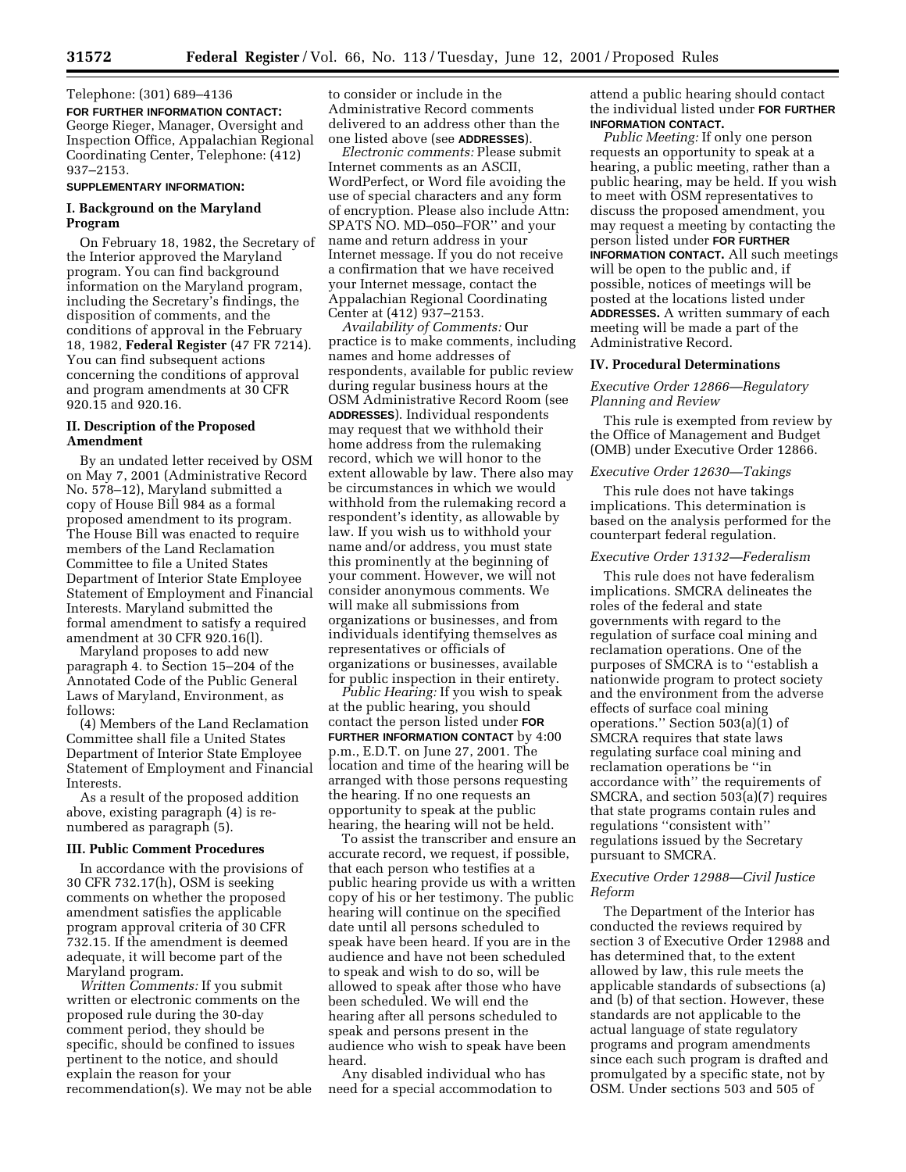Telephone: (301) 689–4136 **FOR FURTHER INFORMATION CONTACT:** George Rieger, Manager, Oversight and Inspection Office, Appalachian Regional Coordinating Center, Telephone: (412) 937–2153.

#### **SUPPLEMENTARY INFORMATION:**

# **I. Background on the Maryland Program**

On February 18, 1982, the Secretary of the Interior approved the Maryland program. You can find background information on the Maryland program, including the Secretary's findings, the disposition of comments, and the conditions of approval in the February 18, 1982, **Federal Register** (47 FR 7214). You can find subsequent actions concerning the conditions of approval and program amendments at 30 CFR 920.15 and 920.16.

## **II. Description of the Proposed Amendment**

By an undated letter received by OSM on May 7, 2001 (Administrative Record No. 578–12), Maryland submitted a copy of House Bill 984 as a formal proposed amendment to its program. The House Bill was enacted to require members of the Land Reclamation Committee to file a United States Department of Interior State Employee Statement of Employment and Financial Interests. Maryland submitted the formal amendment to satisfy a required amendment at 30 CFR 920.16(l).

Maryland proposes to add new paragraph 4. to Section 15–204 of the Annotated Code of the Public General Laws of Maryland, Environment, as follows:

(4) Members of the Land Reclamation Committee shall file a United States Department of Interior State Employee Statement of Employment and Financial Interests.

As a result of the proposed addition above, existing paragraph (4) is renumbered as paragraph (5).

#### **III. Public Comment Procedures**

In accordance with the provisions of 30 CFR 732.17(h), OSM is seeking comments on whether the proposed amendment satisfies the applicable program approval criteria of 30 CFR 732.15. If the amendment is deemed adequate, it will become part of the Maryland program.

*Written Comments:* If you submit written or electronic comments on the proposed rule during the 30-day comment period, they should be specific, should be confined to issues pertinent to the notice, and should explain the reason for your recommendation(s). We may not be able

to consider or include in the Administrative Record comments delivered to an address other than the one listed above (see **ADDRESSES**).

*Electronic comments:* Please submit Internet comments as an ASCII, WordPerfect, or Word file avoiding the use of special characters and any form of encryption. Please also include Attn: SPATS NO. MD–050–FOR'' and your name and return address in your Internet message. If you do not receive a confirmation that we have received your Internet message, contact the Appalachian Regional Coordinating Center at (412) 937–2153.

*Availability of Comments:* Our practice is to make comments, including names and home addresses of respondents, available for public review during regular business hours at the OSM Administrative Record Room (see **ADDRESSES**). Individual respondents may request that we withhold their home address from the rulemaking record, which we will honor to the extent allowable by law. There also may be circumstances in which we would withhold from the rulemaking record a respondent's identity, as allowable by law. If you wish us to withhold your name and/or address, you must state this prominently at the beginning of your comment. However, we will not consider anonymous comments. We will make all submissions from organizations or businesses, and from individuals identifying themselves as representatives or officials of organizations or businesses, available for public inspection in their entirety.

*Public Hearing:* If you wish to speak at the public hearing, you should contact the person listed under **FOR FURTHER INFORMATION CONTACT** by 4:00 p.m., E.D.T. on June 27, 2001. The location and time of the hearing will be arranged with those persons requesting the hearing. If no one requests an opportunity to speak at the public hearing, the hearing will not be held.

To assist the transcriber and ensure an accurate record, we request, if possible, that each person who testifies at a public hearing provide us with a written copy of his or her testimony. The public hearing will continue on the specified date until all persons scheduled to speak have been heard. If you are in the audience and have not been scheduled to speak and wish to do so, will be allowed to speak after those who have been scheduled. We will end the hearing after all persons scheduled to speak and persons present in the audience who wish to speak have been heard.

Any disabled individual who has need for a special accommodation to attend a public hearing should contact the individual listed under **FOR FURTHER INFORMATION CONTACT.**

*Public Meeting:* If only one person requests an opportunity to speak at a hearing, a public meeting, rather than a public hearing, may be held. If you wish to meet with OSM representatives to discuss the proposed amendment, you may request a meeting by contacting the person listed under **FOR FURTHER INFORMATION CONTACT.** All such meetings will be open to the public and, if possible, notices of meetings will be posted at the locations listed under **ADDRESSES.** A written summary of each meeting will be made a part of the

#### **IV. Procedural Determinations**

Administrative Record.

*Executive Order 12866—Regulatory Planning and Review*

This rule is exempted from review by the Office of Management and Budget (OMB) under Executive Order 12866.

#### *Executive Order 12630—Takings*

This rule does not have takings implications. This determination is based on the analysis performed for the counterpart federal regulation.

#### *Executive Order 13132—Federalism*

This rule does not have federalism implications. SMCRA delineates the roles of the federal and state governments with regard to the regulation of surface coal mining and reclamation operations. One of the purposes of SMCRA is to ''establish a nationwide program to protect society and the environment from the adverse effects of surface coal mining operations.'' Section 503(a)(1) of SMCRA requires that state laws regulating surface coal mining and reclamation operations be ''in accordance with'' the requirements of SMCRA, and section 503(a)(7) requires that state programs contain rules and regulations ''consistent with'' regulations issued by the Secretary pursuant to SMCRA.

# *Executive Order 12988—Civil Justice Reform*

The Department of the Interior has conducted the reviews required by section 3 of Executive Order 12988 and has determined that, to the extent allowed by law, this rule meets the applicable standards of subsections (a) and (b) of that section. However, these standards are not applicable to the actual language of state regulatory programs and program amendments since each such program is drafted and promulgated by a specific state, not by OSM. Under sections 503 and 505 of